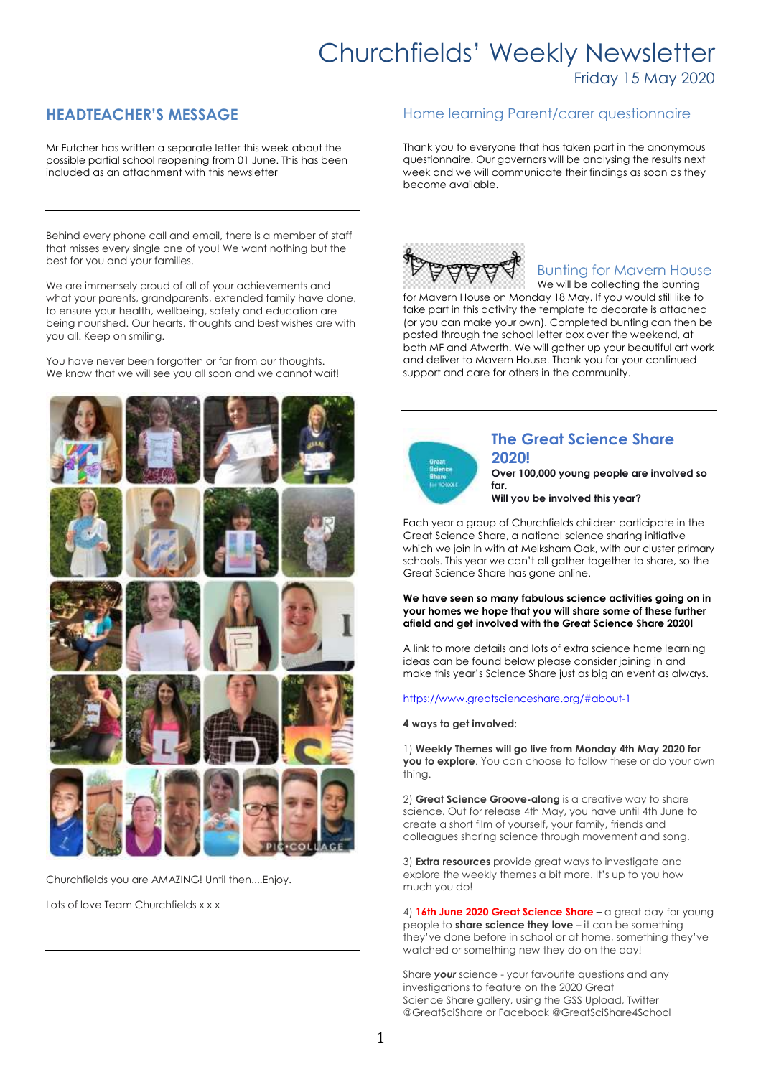# Churchfields' Weekly Newsletter

Friday 15 May 2020

## **HEADTEACHER'S MESSAGE**

Mr Futcher has written a separate letter this week about the possible partial school reopening from 01 June. This has been included as an attachment with this newsletter

Behind every phone call and email, there is a member of staff that misses every single one of you! We want nothing but the best for you and your families.

We are immensely proud of all of your achievements and what your parents, grandparents, extended family have done, to ensure your health, wellbeing, safety and education are being nourished. Our hearts, thoughts and best wishes are with you all. Keep on smiling.

You have never been forgotten or far from our thoughts. We know that we will see you all soon and we cannot wait!



Churchfields you are AMAZING! Until then....Enjoy.

Lots of love Team Churchfields x x x

### Home learning Parent/carer questionnaire

Thank you to everyone that has taken part in the anonymous questionnaire. Our governors will be analysing the results next week and we will communicate their findings as soon as they become available.



## Bunting for Mavern House

We will be collecting the bunting for Mavern House on Monday 18 May. If you would still like to take part in this activity the template to decorate is attached (or you can make your own). Completed bunting can then be posted through the school letter box over the weekend, at both MF and Atworth. We will gather up your beautiful art work and deliver to Mavern House. Thank you for your continued support and care for others in the community.



### **The Great Science Share 2020!**

**Over 100,000 young people are involved so far.**

**Will you be involved this year?**

Each year a group of Churchfields children participate in the Great Science Share, a national science sharing initiative which we join in with at Melksham Oak, with our cluster primary schools. This year we can't all gather together to share, so the Great Science Share has gone online.

#### **We have seen so many fabulous science activities going on in your homes we hope that you will share some of these further afield and get involved with the Great Science Share 2020!**

A link to more details and lots of extra science home learning ideas can be found below please consider joining in and make this year's Science Share just as big an event as always.

<https://www.greatscienceshare.org/#about-1>

### **4 ways to get involved:**

1) **Weekly Themes will go live from Monday 4th May 2020 for you to explore**. You can choose to follow these or do your own thing.

2) **Great Science Groove-along** is a creative way to share science. Out for release 4th May, you have until 4th June to create a short film of yourself, your family, friends and colleagues sharing science through movement and song.

3) **Extra resources** provide great ways to investigate and explore the weekly themes a bit more. It's up to you how much you do!

4) **16th June 2020 Great Science Share –** a great day for young people to **share science they love** – it can be something they've done before in school or at home, something they've watched or something new they do on the day!

Share *your* science - your favourite questions and any investigations to feature on the 2020 Great Science Share gallery, using the GSS Upload, Twitter @GreatSciShare or Facebook @GreatSciShare4School